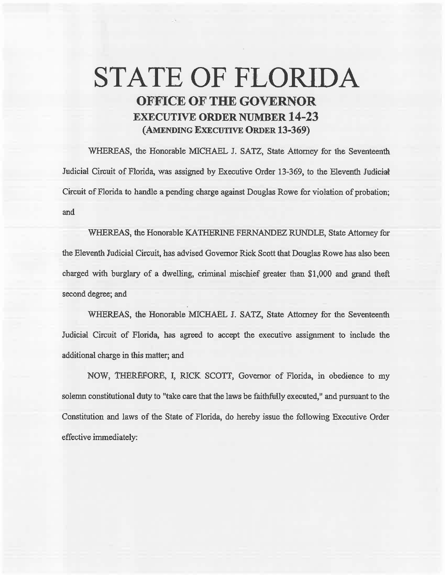## STATE OF FLORIDA OFFICE OF THE GOVERNOR EXECUTIVE ORDER NUMBER 14-23 (AMENDING EXECUTIVE ORDER 13-369)

WHEREAS, the Honorable MICHAEL J. SATZ, State Attorney for the Seventeenth Judicial Circuit of Florida, was assigned by Executive Order 13-369, to the Eleventh Judicial Circuit of Florida to handle a pending charge against Douglas Rowe for violation of probation; and

WHEREAS, the Honorable KATHERINE FERNANDEZ RUNDLE, State Attorney for the Eleventh Judicial Circuit, bas advised Governor Rick Scott that Douglas Rowe has also been charged with burglary of a dwelling, criminal mischief greater than \$1,000 and grand theft second degree; and

WHEREAS, the Honorable MICHAEL J. SATZ, State Attorney for the Seventeenth Judicial Circuit of Florida, has agreed to accept the executive assignment to include the additional charge in this matter; and

NOW, THEREFORE, I, RICK SCOTT, Governor of Florida, in obedience to my solemn constitutional duty to "take care that the laws be faithfully executed," and pursuant to the Constitution and laws of the State of Florida, do hereby issue the following Executive Order effective immediately: